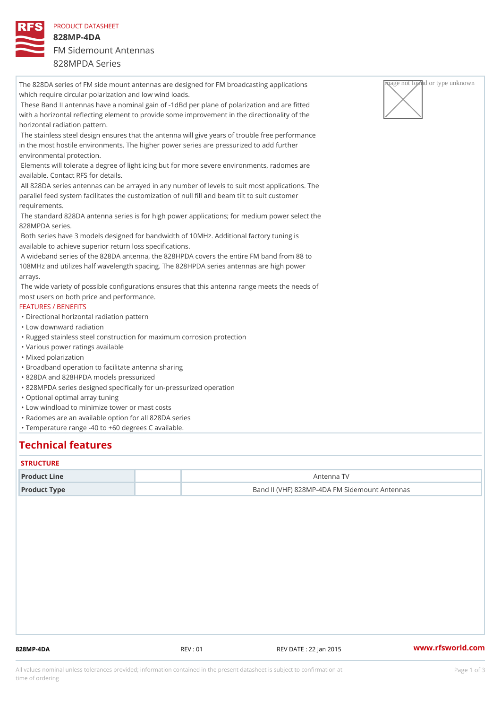PRODUCT DATASHEET 828MP-4DA FM Sidemount Antennas 828MPDA Series

The 828DA series of FM side mount antennas are designed for FM broadcas  $\sqrt{R_{\rm H}^2 Q^2}$  applied artivagnightnown which require circular polarization and low wind loads. These Band II antennas have a nominal gain of -1dBd per plane of polarization and are fitted with a horizontal reflecting element to provide some improvement in the directionality of the horizontal radiation pattern. The stainless steel design ensures that the antenna will give years of trouble free performance in the most hostile environments. The higher power series are pressurized to add further environmental protection. Elements will tolerate a degree of light icing but for more severe environments, radomes are available. Contact RFS for details. All 828DA series antennas can be arrayed in any number of levels to suit most applications. The parallel feed system facilitates the customization of null fill and beam tilt to suit customer requirements. The standard 828DA antenna series is for high power applications; for medium power select the 828MPDA series. Both series have 3 models designed for bandwidth of 10MHz. Additional factory tuning is available to achieve superior return loss specifications. A wideband series of the 828DA antenna, the 828HPDA covers the entire FM band from 88 to 108MHz and utilizes half wavelength spacing. The 828HPDA series antennas are high power arrays. The wide variety of possible configurations ensures that this antenna range meets the needs of most users on both price and performance. FEATURES / BENEFITS "Directional horizontal radiation pattern "Low downward radiation "Rugged stainless steel construction for maximum corrosion protection "Various power ratings available "Mixed polarization "Broadband operation to facilitate antenna sharing "828DA and 828HPDA models pressurized "828MPDA series designed specifically for un-pressurized operation "Optional optimal array tuning "Low windload to minimize tower or mast costs "Radomes are an available option for all 828DA series "Temperature range -40 to +60 degrees C available.

## Technical features

#### **STRUCTURE**

| Product Line | Antenna TV                                    |  |
|--------------|-----------------------------------------------|--|
| Product Type | Band II (VHF) 828MP-4DA FM Sidemount Antennas |  |

828MP-4DA REV : 01 REV DATE : 22 Jan 2015 [www.](https://www.rfsworld.com)rfsworld.com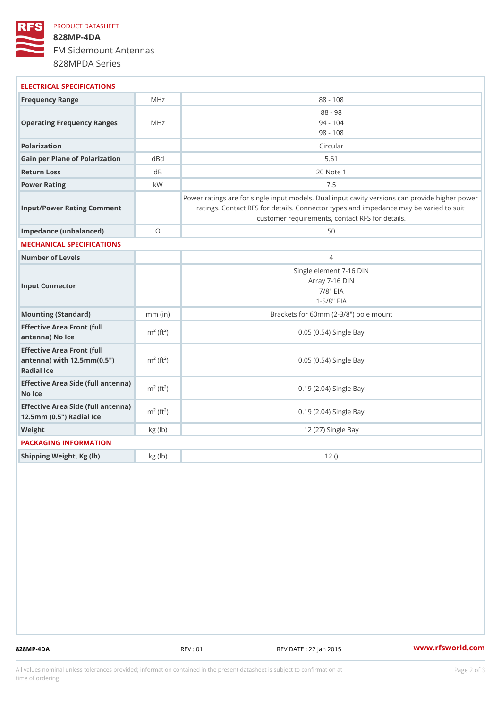## PRODUCT DATASHEET 828MP-4DA FM Sidemount Antennas 828MPDA Series

| ELECTRICAL SPECIFICATIONS                                                                                   |                          |                                                                                                                                                                                          |
|-------------------------------------------------------------------------------------------------------------|--------------------------|------------------------------------------------------------------------------------------------------------------------------------------------------------------------------------------|
| Frequency Range                                                                                             | MHz                      | $88 - 108$                                                                                                                                                                               |
| Operating Frequency RangeMeHz                                                                               |                          | $88 - 98$<br>$94 - 104$<br>$98 - 108$                                                                                                                                                    |
| Polarization                                                                                                |                          | Circular                                                                                                                                                                                 |
| Gain per Plane of Polarizat doBnd                                                                           |                          | 5.61                                                                                                                                                                                     |
| Return Loss                                                                                                 | d B                      | 20 Note 1                                                                                                                                                                                |
| Power Rating                                                                                                | k W                      | 7.5                                                                                                                                                                                      |
| Input/Power Rating Comment                                                                                  |                          | Power ratings are for single input models. Dual input cavity versid<br>ratings. Contact RFS for details. Connector types and impedand<br>customer requirements, contact RFS for details. |
| Impedance (unbalanced)                                                                                      | $\circledcirc$           | 50                                                                                                                                                                                       |
| MECHANICAL SPECIFICATIONS                                                                                   |                          |                                                                                                                                                                                          |
| Number of Levels                                                                                            |                          | $\overline{4}$                                                                                                                                                                           |
| Input Connector                                                                                             |                          | Single element 7-16 DIN<br>Array 7-16 DIN<br>$7/8$ " EIA<br>$1 - 5/8$ $EIA$                                                                                                              |
| Mounting (Standard)                                                                                         | $mm$ (in)                | Brackets for 60mm (2-3/8") pole mount                                                                                                                                                    |
| Effective Area Front (full<br>antenna) No Ice                                                               | $m^2$ (ft <sup>2</sup> ) | 0.05 (0.54) Single Bay                                                                                                                                                                   |
| Effective Area Front (full<br>antenna) with $12.5$ mm $(0.5$ " $\dot{m}$ <sup>2</sup> $(ft2)$<br>Radial Ice |                          | 0.05 (0.54) Single Bay                                                                                                                                                                   |
| Effective Area Side (full antenna)<br>No Ice                                                                |                          | 0.19 (2.04) Single Bay                                                                                                                                                                   |
| Effective Area Side (full antenna)<br>12.5mm (0.5") Radial Ice                                              |                          | 0.19 (2.04) Single Bay                                                                                                                                                                   |
| Weight                                                                                                      | kg(lb)                   | 12 (27) Single Bay                                                                                                                                                                       |
| PACKAGING INFORMATION                                                                                       |                          |                                                                                                                                                                                          |
| Shipping Weight, Kg (lb)                                                                                    | kg(lb)                   | 12()                                                                                                                                                                                     |
|                                                                                                             |                          |                                                                                                                                                                                          |

828MP-4DA REV : 01 REV DATE : 22 Jan 2015 [www.](https://www.rfsworld.com)rfsworld.com